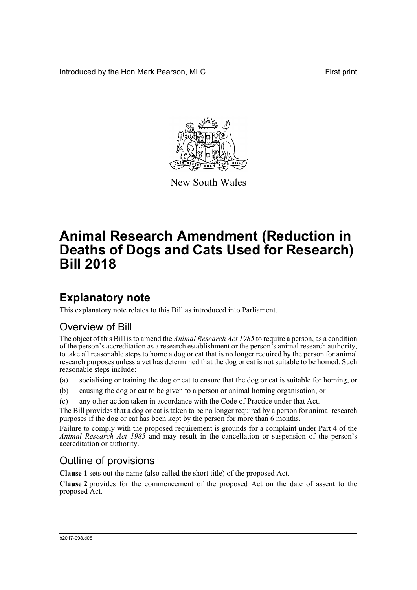Introduced by the Hon Mark Pearson, MLC **First print** First print



New South Wales

# **Animal Research Amendment (Reduction in Deaths of Dogs and Cats Used for Research) Bill 2018**

## **Explanatory note**

This explanatory note relates to this Bill as introduced into Parliament.

### Overview of Bill

The object of this Bill is to amend the *Animal Research Act 1985* to require a person, as a condition of the person's accreditation as a research establishment or the person's animal research authority, to take all reasonable steps to home a dog or cat that is no longer required by the person for animal research purposes unless a vet has determined that the dog or cat is not suitable to be homed. Such reasonable steps include:

- (a) socialising or training the dog or cat to ensure that the dog or cat is suitable for homing, or
- (b) causing the dog or cat to be given to a person or animal homing organisation, or
- (c) any other action taken in accordance with the Code of Practice under that Act.

The Bill provides that a dog or cat is taken to be no longer required by a person for animal research purposes if the dog or cat has been kept by the person for more than 6 months.

Failure to comply with the proposed requirement is grounds for a complaint under Part 4 of the *Animal Research Act 1985* and may result in the cancellation or suspension of the person's accreditation or authority.

### Outline of provisions

**Clause 1** sets out the name (also called the short title) of the proposed Act.

**Clause 2** provides for the commencement of the proposed Act on the date of assent to the proposed Act.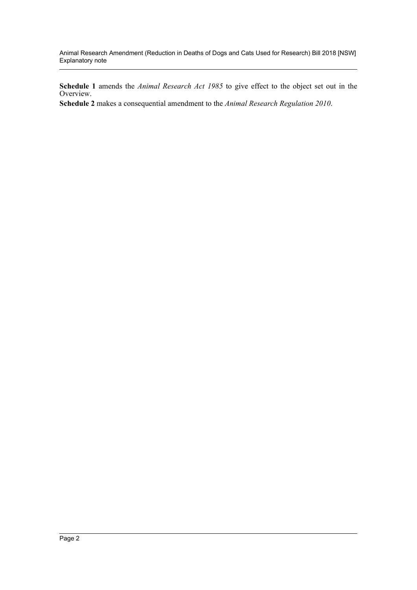Animal Research Amendment (Reduction in Deaths of Dogs and Cats Used for Research) Bill 2018 [NSW] Explanatory note

**Schedule 1** amends the *Animal Research Act 1985* to give effect to the object set out in the Overview.

**Schedule 2** makes a consequential amendment to the *Animal Research Regulation 2010*.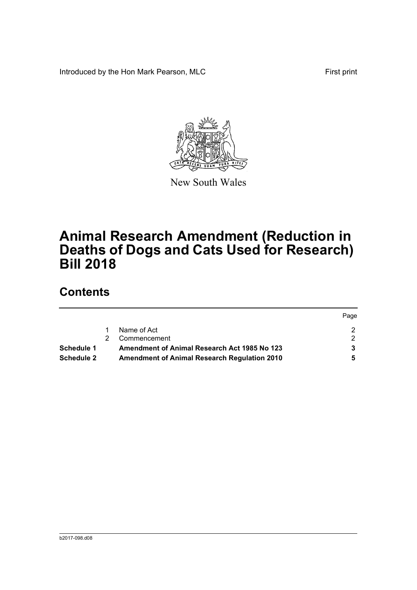Introduced by the Hon Mark Pearson, MLC First print



New South Wales

# **Animal Research Amendment (Reduction in Deaths of Dogs and Cats Used for Research) Bill 2018**

## **Contents**

|                                                                   |  |                                                     | Page |
|-------------------------------------------------------------------|--|-----------------------------------------------------|------|
|                                                                   |  | Name of Act                                         |      |
|                                                                   |  | Commencement                                        |      |
| <b>Amendment of Animal Research Act 1985 No 123</b><br>Schedule 1 |  |                                                     |      |
| Schedule 2                                                        |  | <b>Amendment of Animal Research Regulation 2010</b> |      |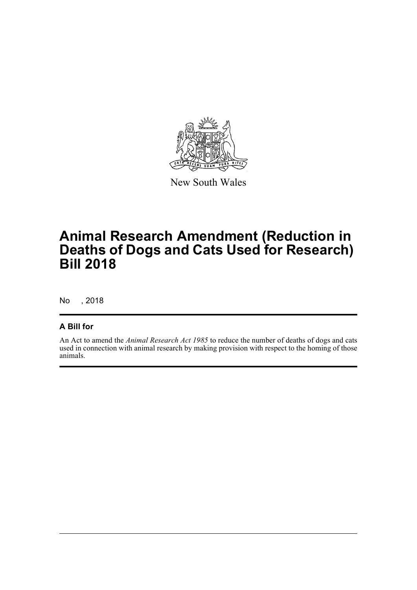

New South Wales

## **Animal Research Amendment (Reduction in Deaths of Dogs and Cats Used for Research) Bill 2018**

No , 2018

#### **A Bill for**

An Act to amend the *Animal Research Act 1985* to reduce the number of deaths of dogs and cats used in connection with animal research by making provision with respect to the homing of those animals.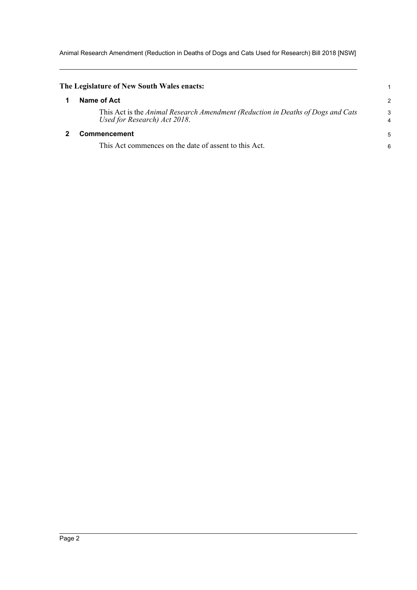Animal Research Amendment (Reduction in Deaths of Dogs and Cats Used for Research) Bill 2018 [NSW]

<span id="page-4-1"></span><span id="page-4-0"></span>

| The Legislature of New South Wales enacts:                                                                      |        |
|-----------------------------------------------------------------------------------------------------------------|--------|
| Name of Act                                                                                                     | 2      |
| This Act is the Animal Research Amendment (Reduction in Deaths of Dogs and Cats<br>Used for Research) Act 2018. | 3<br>4 |
| Commencement                                                                                                    |        |
| This Act commences on the date of assent to this Act.                                                           | 6      |
|                                                                                                                 |        |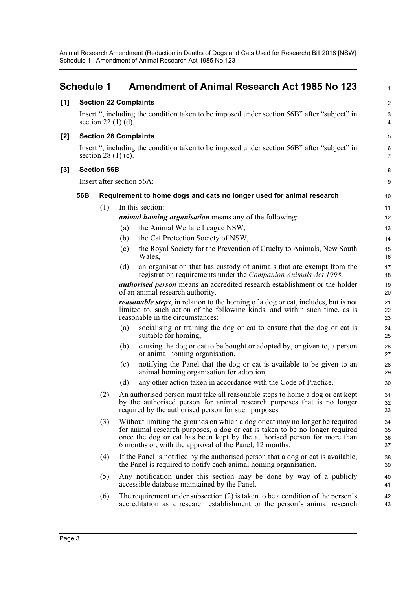Animal Research Amendment (Reduction in Deaths of Dogs and Cats Used for Research) Bill 2018 [NSW] Schedule 1 Amendment of Animal Research Act 1985 No 123

<span id="page-5-0"></span>

|       | <b>Schedule 1</b>                                                                                                   |                      |     | <b>Amendment of Animal Research Act 1985 No 123</b>                                                                                                                                                                                                                                                 | $\mathbf{1}$         |  |  |
|-------|---------------------------------------------------------------------------------------------------------------------|----------------------|-----|-----------------------------------------------------------------------------------------------------------------------------------------------------------------------------------------------------------------------------------------------------------------------------------------------------|----------------------|--|--|
| [1]   |                                                                                                                     |                      |     | <b>Section 22 Complaints</b>                                                                                                                                                                                                                                                                        | $\overline{2}$       |  |  |
|       | Insert ", including the condition taken to be imposed under section 56B" after "subject" in<br>section $22(1)(d)$ . |                      |     |                                                                                                                                                                                                                                                                                                     |                      |  |  |
| $[2]$ | <b>Section 28 Complaints</b>                                                                                        |                      |     |                                                                                                                                                                                                                                                                                                     |                      |  |  |
|       |                                                                                                                     | section $28(1)(c)$ . |     | Insert ", including the condition taken to be imposed under section 56B" after "subject" in                                                                                                                                                                                                         | 6<br>$\overline{7}$  |  |  |
| $[3]$ |                                                                                                                     | <b>Section 56B</b>   |     |                                                                                                                                                                                                                                                                                                     | 8                    |  |  |
|       |                                                                                                                     |                      |     | Insert after section 56A:                                                                                                                                                                                                                                                                           | $\boldsymbol{9}$     |  |  |
|       | 56B                                                                                                                 |                      |     | Requirement to home dogs and cats no longer used for animal research                                                                                                                                                                                                                                | 10                   |  |  |
|       |                                                                                                                     | (1)                  |     | In this section:                                                                                                                                                                                                                                                                                    | 11                   |  |  |
|       |                                                                                                                     |                      |     | <i>animal homing organisation</i> means any of the following:                                                                                                                                                                                                                                       | 12                   |  |  |
|       |                                                                                                                     |                      | (a) | the Animal Welfare League NSW,                                                                                                                                                                                                                                                                      | 13                   |  |  |
|       |                                                                                                                     |                      | (b) | the Cat Protection Society of NSW,                                                                                                                                                                                                                                                                  | 14                   |  |  |
|       |                                                                                                                     |                      | (c) | the Royal Society for the Prevention of Cruelty to Animals, New South<br>Wales,                                                                                                                                                                                                                     | 15<br>16             |  |  |
|       |                                                                                                                     |                      | (d) | an organisation that has custody of animals that are exempt from the<br>registration requirements under the Companion Animals Act 1998.                                                                                                                                                             | 17<br>18             |  |  |
|       |                                                                                                                     |                      |     | authorised person means an accredited research establishment or the holder<br>of an animal research authority.                                                                                                                                                                                      | 19<br>20             |  |  |
|       |                                                                                                                     |                      |     | <i>reasonable steps</i> , in relation to the homing of a dog or cat, includes, but is not<br>limited to, such action of the following kinds, and within such time, as is<br>reasonable in the circumstances:                                                                                        | 21<br>22<br>23       |  |  |
|       |                                                                                                                     |                      | (a) | socialising or training the dog or cat to ensure that the dog or cat is<br>suitable for homing,                                                                                                                                                                                                     | 24<br>25             |  |  |
|       |                                                                                                                     |                      | (b) | causing the dog or cat to be bought or adopted by, or given to, a person<br>or animal homing organisation,                                                                                                                                                                                          | 26<br>27             |  |  |
|       |                                                                                                                     |                      | (c) | notifying the Panel that the dog or cat is available to be given to an<br>animal homing organisation for adoption,                                                                                                                                                                                  | 28<br>29             |  |  |
|       |                                                                                                                     |                      | (d) | any other action taken in accordance with the Code of Practice.                                                                                                                                                                                                                                     | 30                   |  |  |
|       |                                                                                                                     | (2)                  |     | An authorised person must take all reasonable steps to home a dog or cat kept<br>by the authorised person for animal research purposes that is no longer<br>required by the authorised person for such purposes.                                                                                    | 31<br>32<br>33       |  |  |
|       |                                                                                                                     | (3)                  |     | Without limiting the grounds on which a dog or cat may no longer be required<br>for animal research purposes, a dog or cat is taken to be no longer required<br>once the dog or cat has been kept by the authorised person for more than<br>6 months or, with the approval of the Panel, 12 months. | 34<br>35<br>36<br>37 |  |  |
|       |                                                                                                                     | (4)                  |     | If the Panel is notified by the authorised person that a dog or cat is available,<br>the Panel is required to notify each animal homing organisation.                                                                                                                                               | 38<br>39             |  |  |
|       |                                                                                                                     | (5)                  |     | Any notification under this section may be done by way of a publicly<br>accessible database maintained by the Panel.                                                                                                                                                                                | 40<br>41             |  |  |
|       |                                                                                                                     | (6)                  |     | The requirement under subsection $(2)$ is taken to be a condition of the person's<br>accreditation as a research establishment or the person's animal research                                                                                                                                      | 42<br>43             |  |  |
|       |                                                                                                                     |                      |     |                                                                                                                                                                                                                                                                                                     |                      |  |  |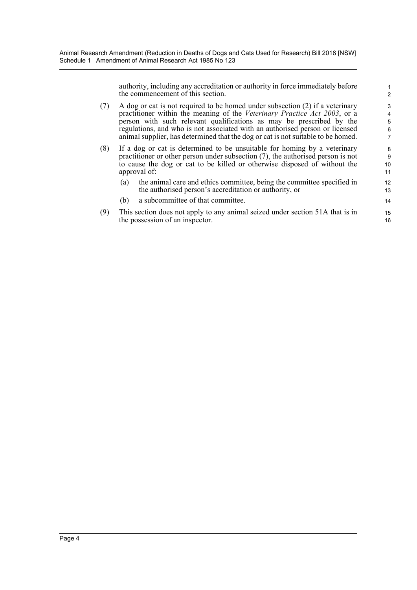authority, including any accreditation or authority in force immediately before the commencement of this section.

- (7) A dog or cat is not required to be homed under subsection (2) if a veterinary practitioner within the meaning of the *Veterinary Practice Act 2003*, or a person with such relevant qualifications as may be prescribed by the regulations, and who is not associated with an authorised person or licensed animal supplier, has determined that the dog or cat is not suitable to be homed.
- (8) If a dog or cat is determined to be unsuitable for homing by a veterinary practitioner or other person under subsection (7), the authorised person is not to cause the dog or cat to be killed or otherwise disposed of without the approval of:
	- (a) the animal care and ethics committee, being the committee specified in the authorised person's accreditation or authority, or
	- (b) a subcommittee of that committee.
- (9) This section does not apply to any animal seized under section 51A that is in the possession of an inspector.